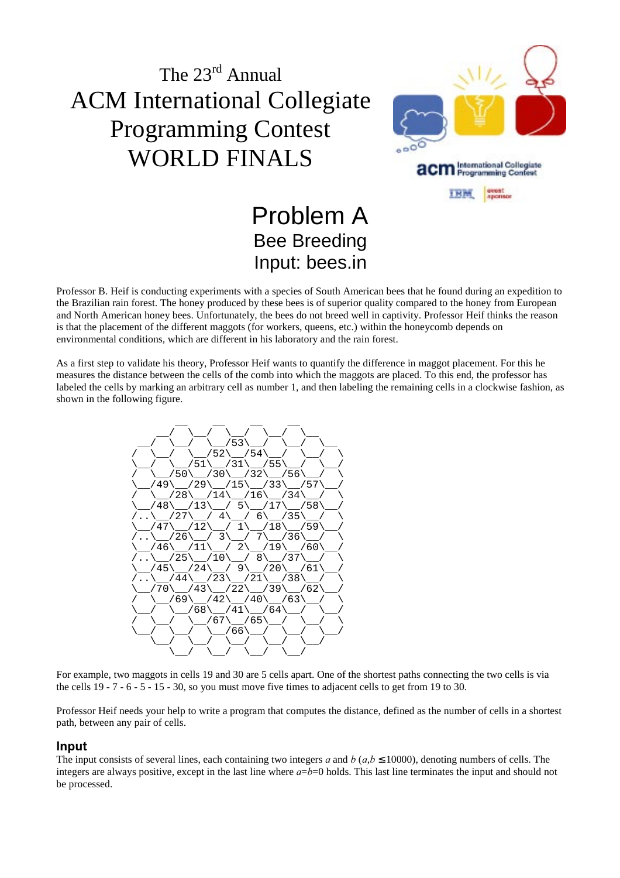

## Problem A Bee Breeding Input: bees.in

Professor B. Heif is conducting experiments with a species of South American bees that he found during an expedition to the Brazilian rain forest. The honey produced by these bees is of superior quality compared to the honey from European and North American honey bees. Unfortunately, the bees do not breed well in captivity. Professor Heif thinks the reason is that the placement of the different maggots (for workers, queens, etc.) within the honeycomb depends on environmental conditions, which are different in his laboratory and the rain forest.

As a first step to validate his theory, Professor Heif wants to quantify the difference in maggot placement. For this he measures the distance between the cells of the comb into which the maggots are placed. To this end, the professor has labeled the cells by marking an arbitrary cell as number 1, and then labeling the remaining cells in a clockwise fashion, as shown in the following figure.



For example, two maggots in cells 19 and 30 are 5 cells apart. One of the shortest paths connecting the two cells is via the cells 19 - 7 - 6 - 5 - 15 - 30, so you must move five times to adjacent cells to get from 19 to 30.

Professor Heif needs your help to write a program that computes the distance, defined as the number of cells in a shortest path, between any pair of cells.

#### **Input**

The input consists of several lines, each containing two integers a and  $b (a,b \le 10000)$ , denoting numbers of cells. The integers are always positive, except in the last line where  $a=b=0$  holds. This last line terminates the input and should not be processed.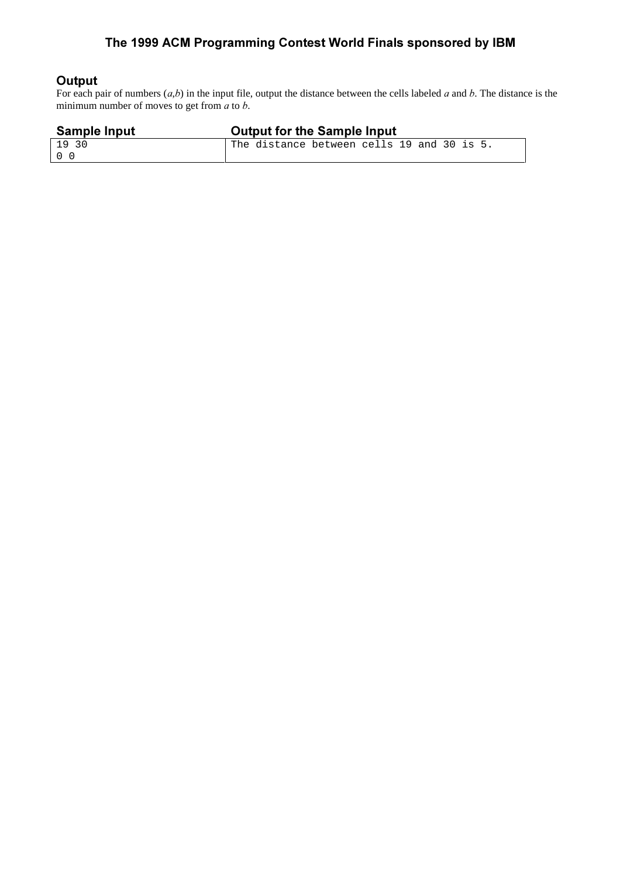### The 1999 ACM Programming Contest World Finals sponsored by IBM

#### Output

For each pair of numbers  $(a,b)$  in the input file, output the distance between the cells labeled a and b. The distance is the minimum number of moves to get from  $a$  to  $b$ .

| <b>Sample Input</b> | <b>Output for the Sample Input</b>         |
|---------------------|--------------------------------------------|
| 1930                | The distance between cells 19 and 30 is 5. |
| റ റ                 |                                            |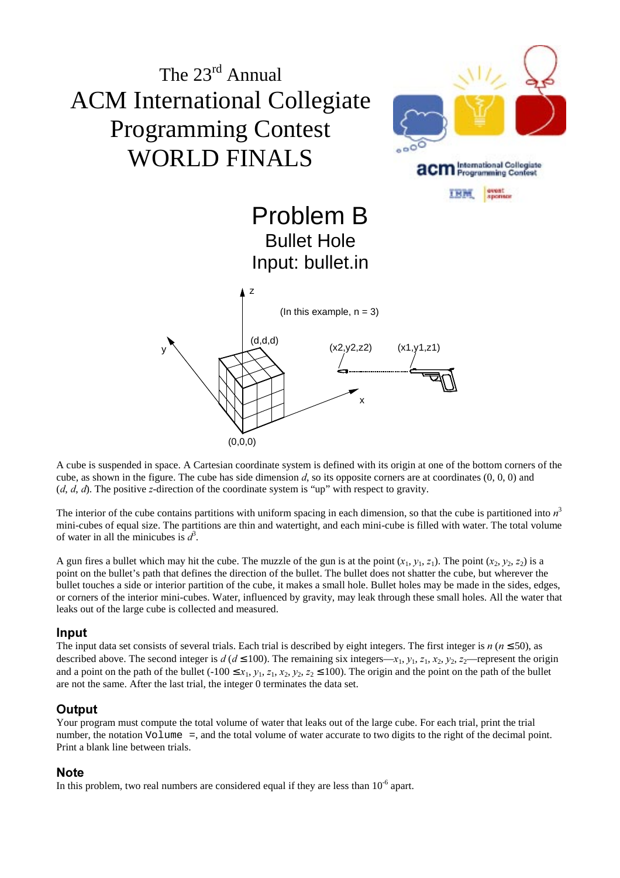

A cube is suspended in space. A Cartesian coordinate system is defined with its origin at one of the bottom corners of the cube, as shown in the figure. The cube has side dimension d, so its opposite corners are at coordinates  $(0, 0, 0)$  and  $(d, d, d)$ . The positive z-direction of the coordinate system is "up" with respect to gravity.

The interior of the cube contains partitions with uniform spacing in each dimension, so that the cube is partitioned into  $n<sup>3</sup>$ mini-cubes of equal size. The partitions are thin and watertight, and each mini-cube is filled with water. The total volume of water in all the minicubes is  $d^3$ .

A gun fires a bullet which may hit the cube. The muzzle of the gun is at the point  $(x_1, y_1, z_1)$ . The point  $(x_2, y_2, z_2)$  is a point on the bullet's path that defines the direction of the bullet. The bullet does not shatter the cube, but wherever the bullet touches a side or interior partition of the cube, it makes a small hole. Bullet holes may be made in the sides, edges, or corners of the interior mini-cubes. Water, influenced by gravity, may leak through these small holes. All the water that leaks out of the large cube is collected and measured.

#### **Input**

The input data set consists of several trials. Each trial is described by eight integers. The first integer is  $n (n \le 50)$ , as described above. The second integer is  $d (d \le 100)$ . The remaining six integers— $x_1, y_1, z_1, x_2, y_2, z_2$ —represent the origin and a point on the path of the bullet  $(-100 \le x_1, y_1, z_1, x_2, y_2, z_2 \le 100)$ . The origin and the point on the path of the bullet are not the same. After the last trial, the integer 0 terminates the data set.

#### Output

Your program must compute the total volume of water that leaks out of the large cube. For each trial, print the trial number, the notation Volume =, and the total volume of water accurate to two digits to the right of the decimal point. Print a blank line between trials.

#### **Note**

In this problem, two real numbers are considered equal if they are less than  $10^{-6}$  apart.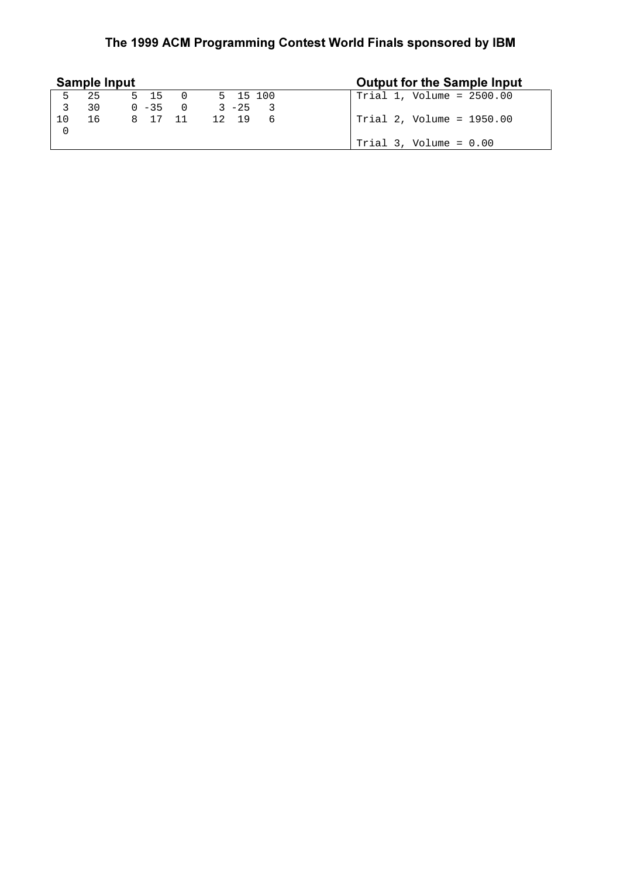### The 1999 ACM Programming Contest World Finals sponsored by IBM

|     | <b>Sample Input</b> |              |          |    | <b>Output for the Sample Input</b> |
|-----|---------------------|--------------|----------|----|------------------------------------|
| 5.  | 25                  | 5 15 0       | 5 15 100 |    | $Trial 1, Volume = 2500.00$        |
|     | 30                  | $0 - 35 = 0$ | $3 - 25$ |    |                                    |
| 1 N | 16                  | 8 17 11      | 12 19    | -6 | Trial 2, Volume = 1950.00          |
|     |                     |              |          |    |                                    |
|     |                     |              |          |    | Trial $3$ , Volume = $0.00$        |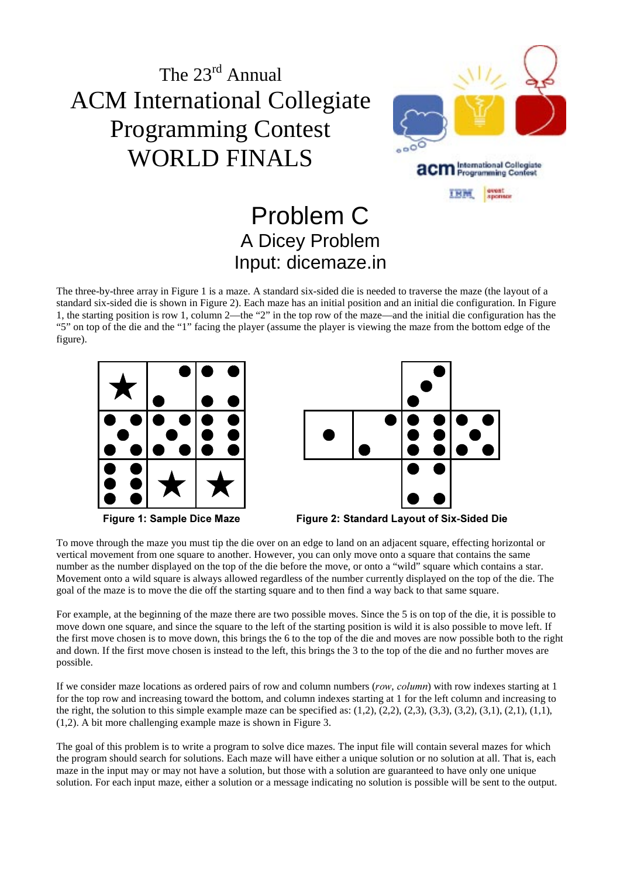

### Problem C A Dicey Problem Input: dicemaze.in

The three-by-three array in Figure 1 is a maze. A standard six-sided die is needed to traverse the maze (the layout of a standard six-sided die is shown in Figure 2). Each maze has an initial position and an initial die configuration. In Figure 1, the starting position is row 1, column 2—the "2" in the top row of the maze—and the initial die configuration has the "5" on top of the die and the "1" facing the player (assume the player is viewing the maze from the bottom edge of the figure).







Figure 1: Sample Dice Maze Figure 2: Standard Layout of Six-Sided Die

To move through the maze you must tip the die over on an edge to land on an adjacent square, effecting horizontal or vertical movement from one square to another. However, you can only move onto a square that contains the same number as the number displayed on the top of the die before the move, or onto a "wild" square which contains a star. Movement onto a wild square is always allowed regardless of the number currently displayed on the top of the die. The goal of the maze is to move the die off the starting square and to then find a way back to that same square.

For example, at the beginning of the maze there are two possible moves. Since the 5 is on top of the die, it is possible to move down one square, and since the square to the left of the starting position is wild it is also possible to move left. If the first move chosen is to move down, this brings the 6 to the top of the die and moves are now possible both to the right and down. If the first move chosen is instead to the left, this brings the 3 to the top of the die and no further moves are possible.

If we consider maze locations as ordered pairs of row and column numbers (row, column) with row indexes starting at 1 for the top row and increasing toward the bottom, and column indexes starting at 1 for the left column and increasing to the right, the solution to this simple example maze can be specified as:  $(1,2)$ ,  $(2,2)$ ,  $(2,3)$ ,  $(3,3)$ ,  $(3,2)$ ,  $(3,1)$ ,  $(2,1)$ ,  $(1,1)$ , (1,2). A bit more challenging example maze is shown in Figure 3.

The goal of this problem is to write a program to solve dice mazes. The input file will contain several mazes for which the program should search for solutions. Each maze will have either a unique solution or no solution at all. That is, each maze in the input may or may not have a solution, but those with a solution are guaranteed to have only one unique solution. For each input maze, either a solution or a message indicating no solution is possible will be sent to the output.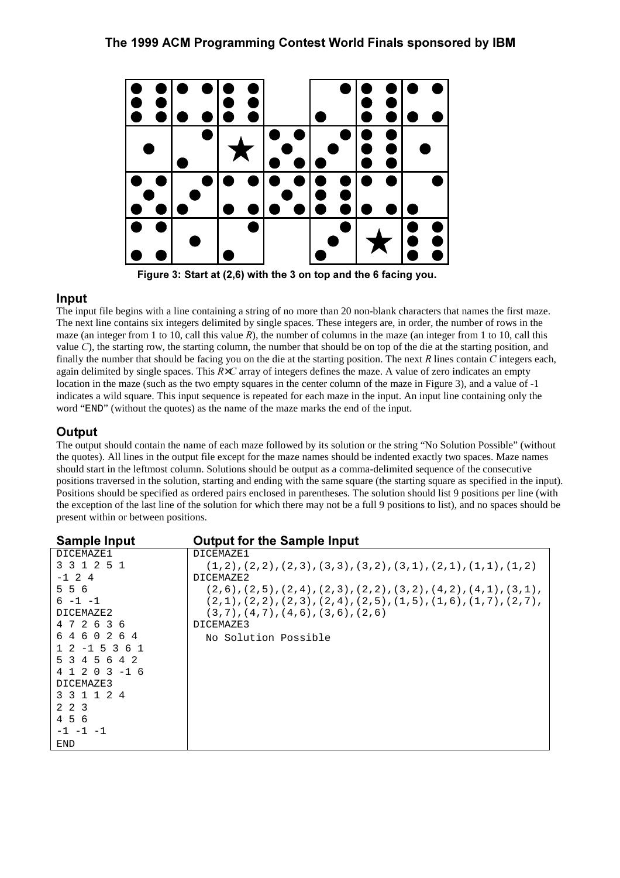

Figure 3: Start at (2,6) with the 3 on top and the 6 facing you.

#### **Input**

The input file begins with a line containing a string of no more than 20 non-blank characters that names the first maze. The next line contains six integers delimited by single spaces. These integers are, in order, the number of rows in the maze (an integer from 1 to 10, call this value  $R$ ), the number of columns in the maze (an integer from 1 to 10, call this value  $C$ ), the starting row, the starting column, the number that should be on top of the die at the starting position, and finally the number that should be facing you on the die at the starting position. The next  $R$  lines contain  $C$  integers each, again delimited by single spaces. This  $R \times C$  array of integers defines the maze. A value of zero indicates an empty location in the maze (such as the two empty squares in the center column of the maze in Figure 3), and a value of -1 indicates a wild square. This input sequence is repeated for each maze in the input. An input line containing only the word "END" (without the quotes) as the name of the maze marks the end of the input.

#### **Output**

The output should contain the name of each maze followed by its solution or the string "No Solution Possible" (without the quotes). All lines in the output file except for the maze names should be indented exactly two spaces. Maze names should start in the leftmost column. Solutions should be output as a comma-delimited sequence of the consecutive positions traversed in the solution, starting and ending with the same square (the starting square as specified in the input). Positions should be specified as ordered pairs enclosed in parentheses. The solution should list 9 positions per line (with the exception of the last line of the solution for which there may not be a full 9 positions to list), and no spaces should be present within or between positions.

| <b>Sample Input</b>                      | <b>Output for the Sample Input</b>                                                        |
|------------------------------------------|-------------------------------------------------------------------------------------------|
| DICEMAZE1                                | DICEMAZE1                                                                                 |
| 3 3 1 2 5 1                              | $(1,2)$ , $(2,2)$ , $(2,3)$ , $(3,3)$ , $(3,2)$ , $(3,1)$ , $(2,1)$ , $(1,1)$ , $(1,2)$   |
| $-1$ 2 4                                 | DICEMAZE2                                                                                 |
| 556                                      | $(2,6)$ , $(2,5)$ , $(2,4)$ , $(2,3)$ , $(2,2)$ , $(3,2)$ , $(4,2)$ , $(4,1)$ , $(3,1)$ , |
| $6 - 1 - 1$                              | $(2,1)$ , $(2,2)$ , $(2,3)$ , $(2,4)$ , $(2,5)$ , $(1,5)$ , $(1,6)$ , $(1,7)$ , $(2,7)$ , |
| DICEMAZE2                                | $(3,7)$ , $(4,7)$ , $(4,6)$ , $(3,6)$ , $(2,6)$                                           |
| 472636                                   | DICEMAZE3                                                                                 |
| 6460264                                  | No Solution Possible                                                                      |
| $1\;\; 2\;\; -1\;\; 5\;\; 3\;\; 6\;\; 1$ |                                                                                           |
| 5 3 4 5 6 4 2                            |                                                                                           |
| $4$ 1 2 0 3 -1 6                         |                                                                                           |
| DICEMAZE3                                |                                                                                           |
| 3 3 1 1 2 4                              |                                                                                           |
| 2 2 3                                    |                                                                                           |
| 456                                      |                                                                                           |
| $-1$ $-1$ $-1$                           |                                                                                           |
| END                                      |                                                                                           |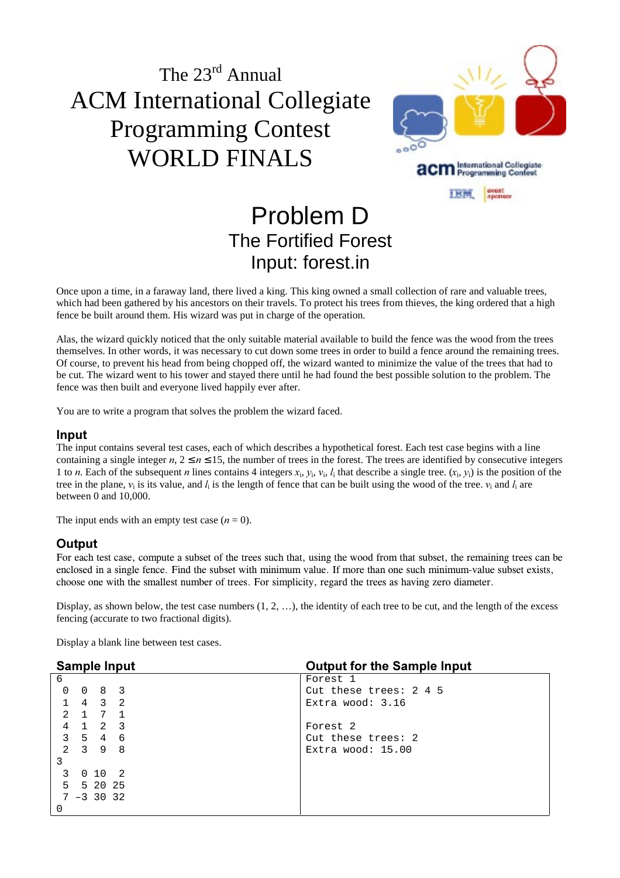

## Problem D The Fortified Forest Input: forest.in

Once upon a time, in a faraway land, there lived a king. This king owned a small collection of rare and valuable trees, which had been gathered by his ancestors on their travels. To protect his trees from thieves, the king ordered that a high fence be built around them. His wizard was put in charge of the operation.

Alas, the wizard quickly noticed that the only suitable material available to build the fence was the wood from the trees themselves. In other words, it was necessary to cut down some trees in order to build a fence around the remaining trees. Of course, to prevent his head from being chopped off, the wizard wanted to minimize the value of the trees that had to be cut. The wizard went to his tower and stayed there until he had found the best possible solution to the problem. The fence was then built and everyone lived happily ever after.

You are to write a program that solves the problem the wizard faced.

#### **Input**

The input contains several test cases, each of which describes a hypothetical forest. Each test case begins with a line containing a single integer  $n, 2 \le n \le 15$ , the number of trees in the forest. The trees are identified by consecutive integers 1 to *n*. Each of the subsequent *n* lines contains 4 integers  $x_i$ ,  $y_i$ ,  $v_i$ ,  $l_i$  that describe a single tree.  $(x_i, y_i)$  is the position of the tree in the plane,  $v_i$  is its value, and  $l_i$  is the length of fence that can be built using the wood of the tree.  $v_i$  and  $l_i$  are between 0 and 10,000.

The input ends with an empty test case  $(n = 0)$ .

#### **Output**

For each test case, compute a subset of the trees such that, using the wood from that subset, the remaining trees can be enclosed in a single fence. Find the subset with minimum value. If more than one such minimum-value subset exists, choose one with the smallest number of trees. For simplicity, regard the trees as having zero diameter.

Display, as shown below, the test case numbers  $(1, 2, ...)$ , the identity of each tree to be cut, and the length of the excess fencing (accurate to two fractional digits).

Display a blank line between test cases.

| <b>Sample Input</b> |                             |                     |     | <b>Output for the Sample Input</b> |
|---------------------|-----------------------------|---------------------|-----|------------------------------------|
| 6                   |                             |                     |     | Forest 1                           |
| $\Omega$            |                             | $0 \quad 8 \quad 3$ |     | Cut these trees: $2\,4\,5$         |
|                     |                             | 4 3 2               |     | Extra wood: $3.16$                 |
| $2^{1}$             |                             | 1 7 1               |     |                                    |
| 4                   |                             |                     | 2 3 | Forest 2                           |
|                     | $3 \quad 5 \quad 4 \quad 6$ |                     |     | Cut these trees: 2                 |
|                     | $2 \quad 3 \quad 9 \quad 8$ |                     |     | Extra wood: $15.00$                |
| 3                   |                             |                     |     |                                    |
| 3                   |                             | 0102                |     |                                    |
| 5                   |                             | 5 20 25             |     |                                    |
|                     | $7 - 3$ 30 32               |                     |     |                                    |
| 0                   |                             |                     |     |                                    |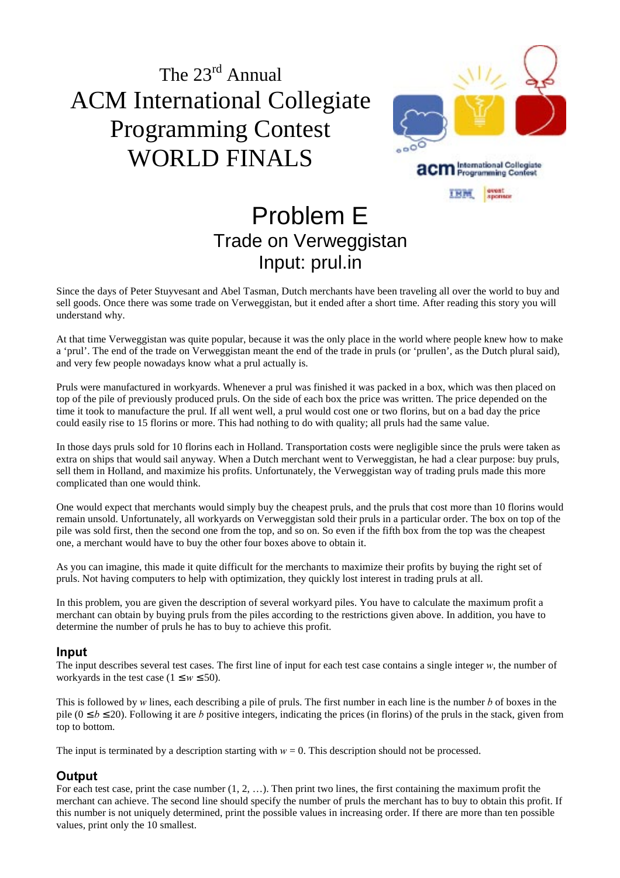

### Problem E Trade on Verweggistan Input: prul.in

Since the days of Peter Stuyvesant and Abel Tasman, Dutch merchants have been traveling all over the world to buy and sell goods. Once there was some trade on Verweggistan, but it ended after a short time. After reading this story you will understand why.

At that time Verweggistan was quite popular, because it was the only place in the world where people knew how to make a 'prul'. The end of the trade on Verweggistan meant the end of the trade in pruls (or 'prullen', as the Dutch plural said), and very few people nowadays know what a prul actually is.

Pruls were manufactured in workyards. Whenever a prul was finished it was packed in a box, which was then placed on top of the pile of previously produced pruls. On the side of each box the price was written. The price depended on the time it took to manufacture the prul. If all went well, a prul would cost one or two florins, but on a bad day the price could easily rise to 15 florins or more. This had nothing to do with quality; all pruls had the same value.

In those days pruls sold for 10 florins each in Holland. Transportation costs were negligible since the pruls were taken as extra on ships that would sail anyway. When a Dutch merchant went to Verweggistan, he had a clear purpose: buy pruls, sell them in Holland, and maximize his profits. Unfortunately, the Verweggistan way of trading pruls made this more complicated than one would think.

One would expect that merchants would simply buy the cheapest pruls, and the pruls that cost more than 10 florins would remain unsold. Unfortunately, all workyards on Verweggistan sold their pruls in a particular order. The box on top of the pile was sold first, then the second one from the top, and so on. So even if the fifth box from the top was the cheapest one, a merchant would have to buy the other four boxes above to obtain it.

As you can imagine, this made it quite difficult for the merchants to maximize their profits by buying the right set of pruls. Not having computers to help with optimization, they quickly lost interest in trading pruls at all.

In this problem, you are given the description of several workyard piles. You have to calculate the maximum profit a merchant can obtain by buying pruls from the piles according to the restrictions given above. In addition, you have to determine the number of pruls he has to buy to achieve this profit.

#### lnput

The input describes several test cases. The first line of input for each test case contains a single integer  $w$ , the number of workyards in the test case  $(1 \le w \le 50)$ .

This is followed by  $w$  lines, each describing a pile of pruls. The first number in each line is the number  $b$  of boxes in the pile ( $0 \le b \le 20$ ). Following it are b positive integers, indicating the prices (in florins) of the pruls in the stack, given from top to bottom.

The input is terminated by a description starting with  $w = 0$ . This description should not be processed.

#### Output

For each test case, print the case number  $(1, 2, ...)$ . Then print two lines, the first containing the maximum profit the merchant can achieve. The second line should specify the number of pruls the merchant has to buy to obtain this profit. If this number is not uniquely determined, print the possible values in increasing order. If there are more than ten possible values, print only the 10 smallest.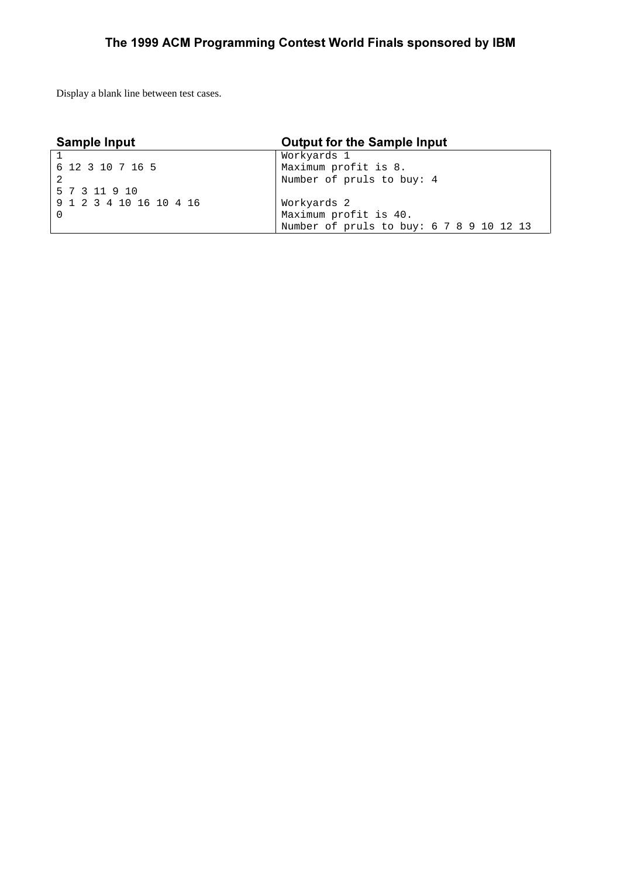Display a blank line between test cases.

| <b>Sample Input</b>     | <b>Output for the Sample Input</b>       |
|-------------------------|------------------------------------------|
|                         | Workyards 1                              |
| 6 12 3 10 7 16 5        | Maximum profit is 8.                     |
|                         | Number of pruls to buy: 4                |
| 5 7 3 11 9 10           |                                          |
| 9 1 2 3 4 10 16 10 4 16 | Workyards 2                              |
|                         | Maximum profit is 40.                    |
|                         | Number of pruls to buy: 6 7 8 9 10 12 13 |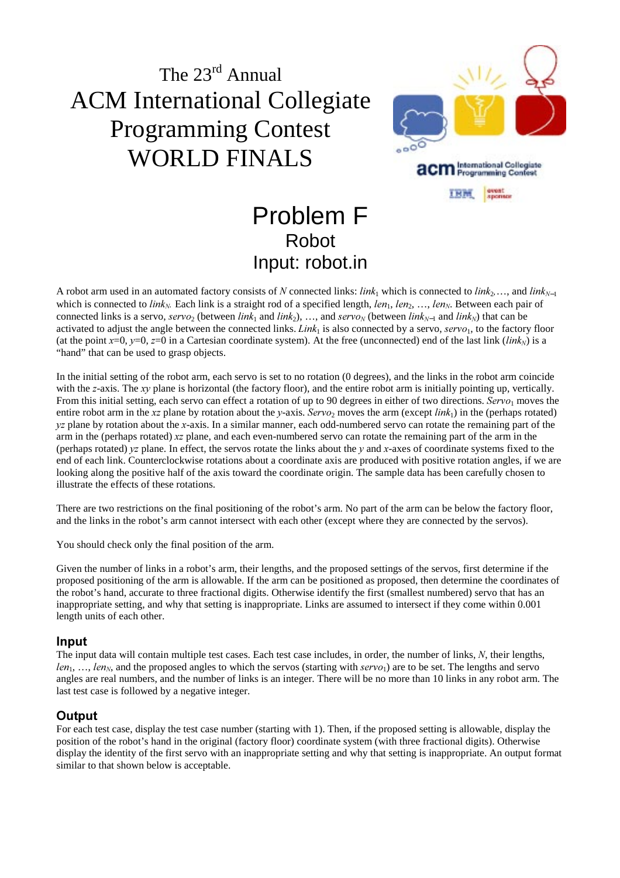

## Problem F Robot Input: robot.in

A robot arm used in an automated factory consists of N connected links:  $link_1$  which is connected to  $link_2, \ldots$ , and  $link_{N-1}$ which is connected to link<sub>N</sub>. Each link is a straight rod of a specified length,  $len_1, len_2, ..., len_N$ . Between each pair of connected links is a servo,  $servo_2$  (between  $link_1$  and  $link_2$ ), …, and  $servo_N$  (between  $link_{N-1}$  and  $link_N$ ) that can be activated to adjust the angle between the connected links. Link<sub>1</sub> is also connected by a servo, servo<sub>1</sub>, to the factory floor (at the point  $x=0$ ,  $y=0$ ,  $z=0$  in a Cartesian coordinate system). At the free (unconnected) end of the last link (*link<sub>N</sub>*) is a "hand" that can be used to grasp objects.

In the initial setting of the robot arm, each servo is set to no rotation (0 degrees), and the links in the robot arm coincide with the  $z$ -axis. The  $xy$  plane is horizontal (the factory floor), and the entire robot arm is initially pointing up, vertically. From this initial setting, each servo can effect a rotation of up to 90 degrees in either of two directions. Servo<sub>1</sub> moves the entire robot arm in the xz plane by rotation about the y-axis. Servo, moves the arm (except  $link_1$ ) in the (perhaps rotated)  $yz$  plane by rotation about the x-axis. In a similar manner, each odd-numbered servo can rotate the remaining part of the arm in the (perhaps rotated)  $xz$  plane, and each even-numbered servo can rotate the remaining part of the arm in the (perhaps rotated)  $yz$  plane. In effect, the servos rotate the links about the  $y$  and  $x$ -axes of coordinate systems fixed to the end of each link. Counterclockwise rotations about a coordinate axis are produced with positive rotation angles, if we are looking along the positive half of the axis toward the coordinate origin. The sample data has been carefully chosen to illustrate the effects of these rotations.

There are two restrictions on the final positioning of the robot's arm. No part of the arm can be below the factory floor, and the links in the robot's arm cannot intersect with each other (except where they are connected by the servos).

You should check only the final position of the arm.

Given the number of links in a robot's arm, their lengths, and the proposed settings of the servos, first determine if the proposed positioning of the arm is allowable. If the arm can be positioned as proposed, then determine the coordinates of the robot's hand, accurate to three fractional digits. Otherwise identify the first (smallest numbered) servo that has an inappropriate setting, and why that setting is inappropriate. Links are assumed to intersect if they come within 0.001 length units of each other.

#### **Input**

The input data will contain multiple test cases. Each test case includes, in order, the number of links, N, their lengths,  $len_1, \ldots, len_N$ , and the proposed angles to which the servos (starting with  $serv_1$ ) are to be set. The lengths and servo angles are real numbers, and the number of links is an integer. There will be no more than 10 links in any robot arm. The last test case is followed by a negative integer.

#### **Output**

For each test case, display the test case number (starting with 1). Then, if the proposed setting is allowable, display the position of the robot's hand in the original (factory floor) coordinate system (with three fractional digits). Otherwise display the identity of the first servo with an inappropriate setting and why that setting is inappropriate. An output format similar to that shown below is acceptable.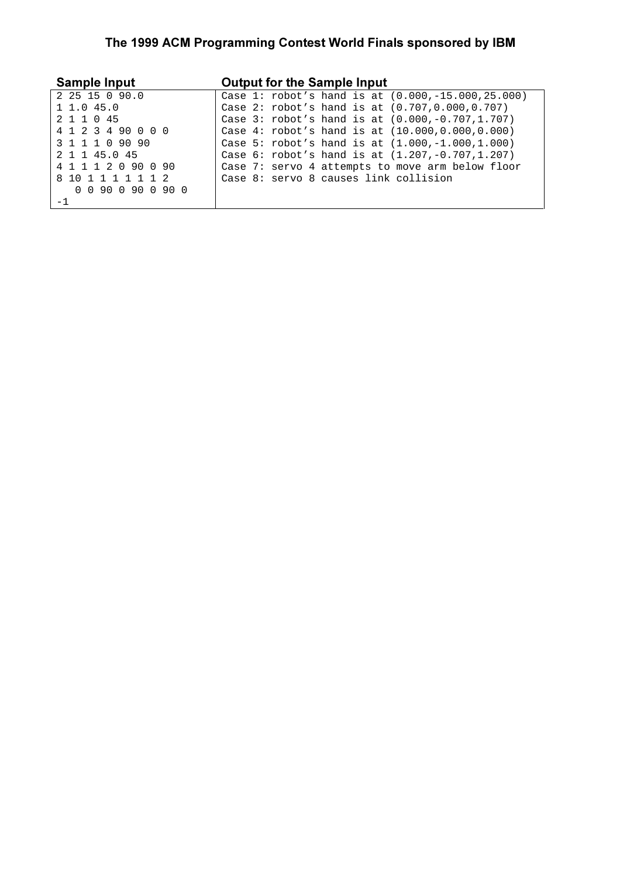### The 1999 ACM Programming Contest World Finals sponsored by IBM

| <b>Sample Input</b>   | <b>Output for the Sample Input</b>                    |
|-----------------------|-------------------------------------------------------|
| 2 25 15 0 90.0        | Case 1: robot's hand is at $(0.000, -15.000, 25.000)$ |
| 1 1.0 45.0            | Case 2: $robot's$ hand is at $(0.707, 0.000, 0.707)$  |
| 2 1 1 0 45            | Case 3: $robot's$ hand is at $(0.000,-0.707,1.707)$   |
| 4 1 2 3 4 90 0 0 0    | Case $4:$ robot's hand is at $(10.000, 0.000, 0.000)$ |
| 3 1 1 1 0 90 90       | Case 5: robot's hand is at $(1.000,-1.000,1.000)$     |
| 2 1 1 45.0 45         | Case $6:$ robot's hand is at $(1.207, -0.707, 1.207)$ |
| 4 1 1 1 2 0 90 0 90   | Case 7: servo 4 attempts to move arm below floor      |
| 8 10 1 1 1 1 1 1 2    | Case 8: servo 8 causes link collision                 |
| 0 0 9 0 0 9 0 0 9 0 0 |                                                       |
|                       |                                                       |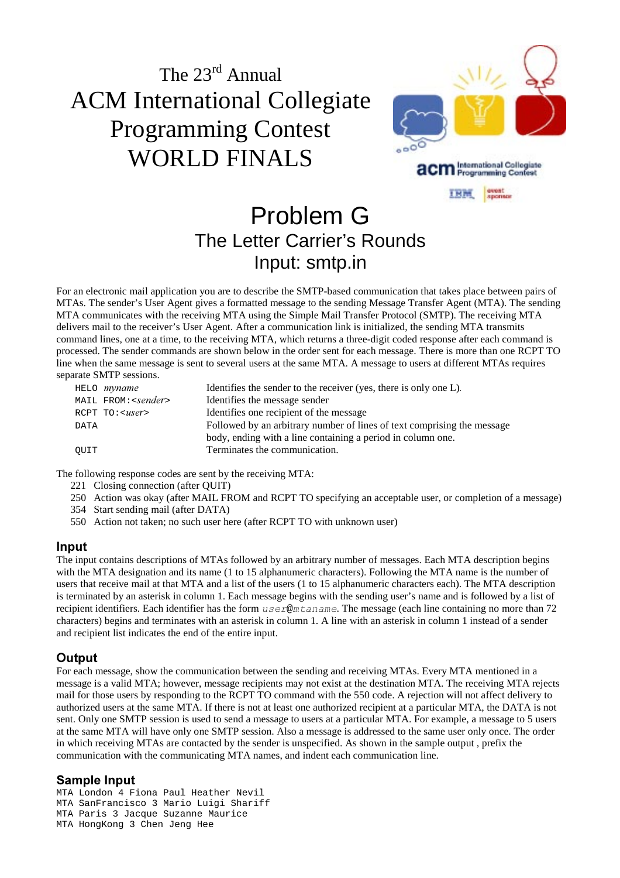

### Problem G The Letter Carrier's Rounds Input: smtp.in

For an electronic mail application you are to describe the SMTP-based communication that takes place between pairs of MTAs. The sender's User Agent gives a formatted message to the sending Message Transfer Agent (MTA). The sending MTA communicates with the receiving MTA using the Simple Mail Transfer Protocol (SMTP). The receiving MTA delivers mail to the receiver's User Agent. After a communication link is initialized, the sending MTA transmits command lines, one at a time, to the receiving MTA, which returns a three-digit coded response after each command is processed. The sender commands are shown below in the order sent for each message. There is more than one RCPT TO line when the same message is sent to several users at the same MTA. A message to users at different MTAs requires separate SMTP sessions.

|      | HELO <i>myname</i>           | Identifies the sender to the receiver (yes, there is only one L).       |
|------|------------------------------|-------------------------------------------------------------------------|
|      | MAIL FROM: <sender></sender> | Identifies the message sender                                           |
|      | RCPT TO: <user></user>       | Identifies one recipient of the message                                 |
| DATA |                              | Followed by an arbitrary number of lines of text comprising the message |
|      |                              | body, ending with a line containing a period in column one.             |
| OUIT |                              | Terminates the communication.                                           |

The following response codes are sent by the receiving MTA:

- 221 Closing connection (after QUIT)
- 250 Action was okay (after MAIL FROM and RCPT TO specifying an acceptable user, or completion of a message)
- 354 Start sending mail (after DATA)
- 550 Action not taken; no such user here (after RCPT TO with unknown user)

#### **Input**

The input contains descriptions of MTAs followed by an arbitrary number of messages. Each MTA description begins with the MTA designation and its name (1 to 15 alphanumeric characters). Following the MTA name is the number of users that receive mail at that MTA and a list of the users (1 to 15 alphanumeric characters each). The MTA description is terminated by an asterisk in column 1. Each message begins with the sending user's name and is followed by a list of recipient identifiers. Each identifier has the form  $user@mtaname$ . The message (each line containing no more than 72 characters) begins and terminates with an asterisk in column 1. A line with an asterisk in column 1 instead of a sender and recipient list indicates the end of the entire input.

#### Output

For each message, show the communication between the sending and receiving MTAs. Every MTA mentioned in a message is a valid MTA; however, message recipients may not exist at the destination MTA. The receiving MTA rejects mail for those users by responding to the RCPT TO command with the 550 code. A rejection will not affect delivery to authorized users at the same MTA. If there is not at least one authorized recipient at a particular MTA, the DATA is not sent. Only one SMTP session is used to send a message to users at a particular MTA. For example, a message to 5 users at the same MTA will have only one SMTP session. Also a message is addressed to the same user only once. The order in which receiving MTAs are contacted by the sender is unspecified. As shown in the sample output , prefix the communication with the communicating MTA names, and indent each communication line.

#### Sample Input

MTA London 4 Fiona Paul Heather Nevil MTA SanFrancisco 3 Mario Luigi Shariff MTA Paris 3 Jacque Suzanne Maurice MTA HongKong 3 Chen Jeng Hee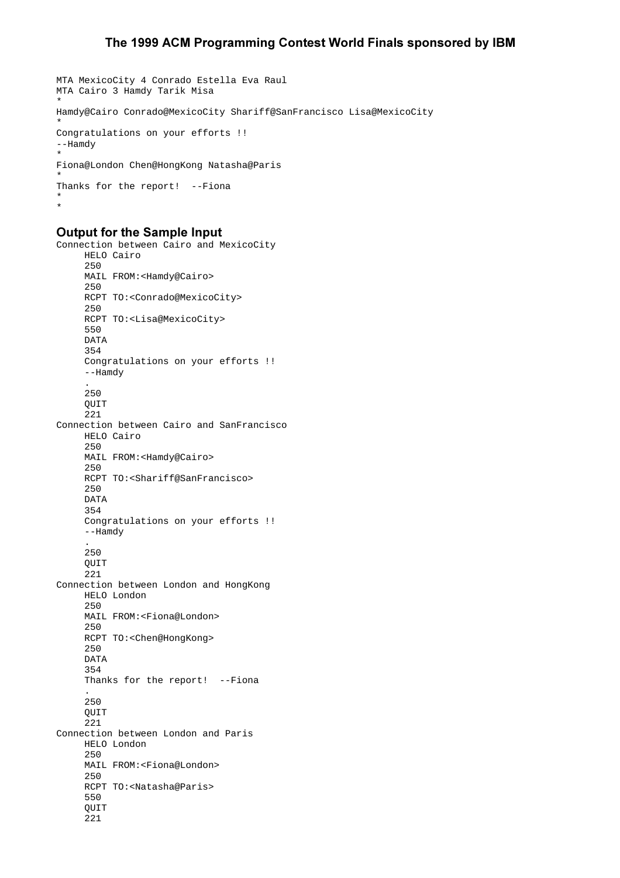```
MTA MexicoCity 4 Conrado Estella Eva Raul
MTA Cairo 3 Hamdy Tarik Misa
*
Hamdy@Cairo Conrado@MexicoCity Shariff@SanFrancisco Lisa@MexicoCity
*
Congratulations on your efforts !!
--Hamdy
*
Fiona@London Chen@HongKong Natasha@Paris
*
Thanks for the report! --Fiona
*
*
```
#### Output for the Sample Input

```
Connection between Cairo and MexicoCity
      HELO Cairo
      250
      MAIL FROM:<Hamdy@Cairo>
      250
      RCPT TO:<Conrado@MexicoCity>
      250
      RCPT TO:<Lisa@MexicoCity>
      550
      DATA
      354
      Congratulations on your efforts !!
      --Hamdy
 .
      250
      QUIT
      221
Connection between Cairo and SanFrancisco
      HELO Cairo
      250
      MAIL FROM:<Hamdy@Cairo>
      250
      RCPT TO:<Shariff@SanFrancisco>
      250
      DATA
      354
      Congratulations on your efforts !!
      --Hamdy
 .
      250
      QUIT
      221
Connection between London and HongKong
     HELO London
      250
      MAIL FROM:<Fiona@London>
      250
      RCPT TO:<Chen@HongKong>
      250
      DATA
      354
      Thanks for the report! --Fiona
 .
     .<br>250
     OUIT
      221
Connection between London and Paris
      HELO London
      250
      MAIL FROM:<Fiona@London>
      250
      RCPT TO:<Natasha@Paris>
      550
      QUIT
      221
```